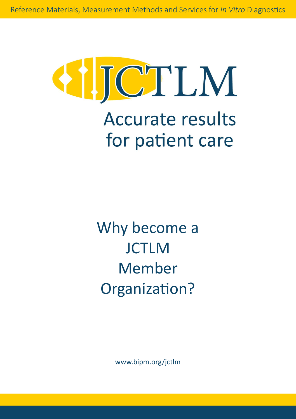

Why become a **JCTLM** Member Organization?

[www.bipm.org/jctlm](https://www.bipm.org/en/committees/jc/jctlm)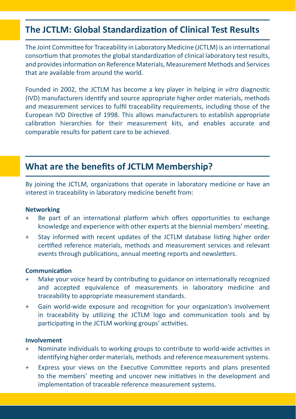# **The JCTLM: Global Standardization of Clinical Test Results**

The Joint Committee for Traceability in Laboratory Medicine (JCTLM) is an international consortium that promotes the global standardization of clinical laboratory test results, and provides information on Reference Materials, Measurement Methods and Services that are available from around the world.

Founded in 2002, the JCTLM has become a key player in helping *in vitro* diagnostic (IVD) manufacturers identify and source appropriate higher order materials, methods and measurement services to fulfil traceability requirements, including those of the European IVD Directive of 1998. This allows manufacturers to establish appropriate calibration hierarchies for their measurement kits, and enables accurate and comparable results for patient care to be achieved.

### **What are the benefits of JCTLM Membership?**

By joining the JCTLM, organizations that operate in laboratory medicine or have an interest in traceability in laboratory medicine benefit from:

#### **Networking**

- Be part of an international platform which offers opportunities to exchange knowledge and experience with other experts at the biennial members' meeting.
- + Stay informed with recent updates of the JCTLM database listing higher order certified reference materials, methods and measurement services and relevant events through publications, annual meeting reports and newsletters.

#### **Communication**

- + Make your voice heard by contributing to guidance on internationally recognized and accepted equivalence of measurements in laboratory medicine and traceability to appropriate measurement standards.
- + Gain world-wide exposure and recognition for your organization's involvement in traceability by utilizing the JCTLM logo and communication tools and by participating in the JCTLM working groups' activities.

#### **Involvement**

- + Nominate individuals to working groups to contribute to world-wide activities in identifying higher order materials, methods and reference measurement systems.
- + Express your views on the Executive Committee reports and plans presented to the members' meeting and uncover new initiatives in the development and implementation of traceable reference measurement systems.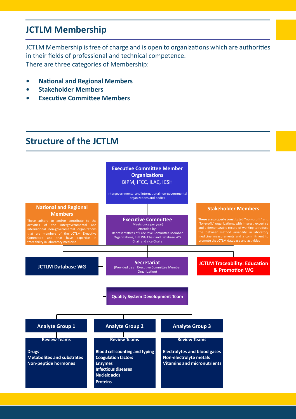## **JCTLM Membership**

JCTLM Membership is free of charge and is open to organizations which are authorities in their fields of professional and technical competence. There are three categories of Membership:

- **• National and Regional Members**
- **• Stakeholder Members**
- **• Executive Committee Members**

### **Structure of the JCTLM**